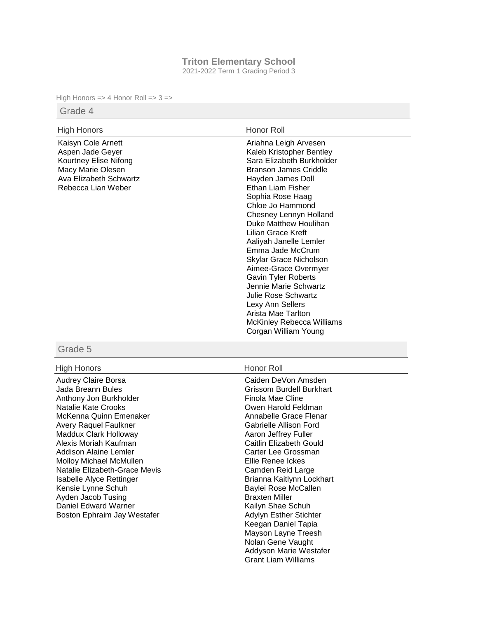## **Triton Elementary School**

2021-2022 Term 1 Grading Period 3

High Honors => 4 Honor Roll =>  $3 =$ >

### Grade 4

| <b>High Honors</b>                                                                                                                   | Honor Roll                                                                                                                                                                                                                                                                                                                                                                                                                                                                                                                                             |
|--------------------------------------------------------------------------------------------------------------------------------------|--------------------------------------------------------------------------------------------------------------------------------------------------------------------------------------------------------------------------------------------------------------------------------------------------------------------------------------------------------------------------------------------------------------------------------------------------------------------------------------------------------------------------------------------------------|
| Kaisyn Cole Arnett<br>Aspen Jade Geyer<br>Kourtney Elise Nifong<br>Macy Marie Olesen<br>Ava Elizabeth Schwartz<br>Rebecca Lian Weber | Ariahna Leigh Arvesen<br>Kaleb Kristopher Bentley<br>Sara Elizabeth Burkholder<br><b>Branson James Criddle</b><br>Hayden James Doll<br>Ethan Liam Fisher<br>Sophia Rose Haag<br>Chloe Jo Hammond<br>Chesney Lennyn Holland<br>Duke Matthew Houlihan<br>Lilian Grace Kreft<br>Aaliyah Janelle Lemler<br>Emma Jade McCrum<br>Skylar Grace Nicholson<br>Aimee-Grace Overmyer<br><b>Gavin Tyler Roberts</b><br>Jennie Marie Schwartz<br>Julie Rose Schwartz<br>Lexy Ann Sellers<br>Arista Mae Tarlton<br>McKinley Rebecca Williams<br>Corgan William Young |
|                                                                                                                                      |                                                                                                                                                                                                                                                                                                                                                                                                                                                                                                                                                        |

## Grade 5

### High Honors **Honor Roll**

Audrey Claire Borsa Jada Breann Bules Anthony Jon Burkholder Natalie Kate Crooks McKenna Quinn Emenaker Avery Raquel Faulkner Maddux Clark Holloway Alexis Moriah Kaufman Addison Alaine Lemler Molloy Michael McMullen Natalie Elizabeth-Grace Mevis Isabelle Alyce Rettinger Kensie Lynne Schuh Ayden Jacob Tusing Daniel Edward Warner Boston Ephraim Jay Westafer

Caiden DeVon Amsden Grissom Burdell Burkhart Finola Mae Cline Owen Harold Feldman Annabelle Grace Flenar Gabrielle Allison Ford Aaron Jeffrey Fuller Caitlin Elizabeth Gould Carter Lee Grossman Ellie Renee Ickes Camden Reid Large Brianna Kaitlynn Lockhart Baylei Rose McCallen Braxten Miller Kailyn Shae Schuh Adylyn Esther Stichter Keegan Daniel Tapia Mayson Layne Treesh Nolan Gene Vaught Addyson Marie Westafer Grant Liam Williams